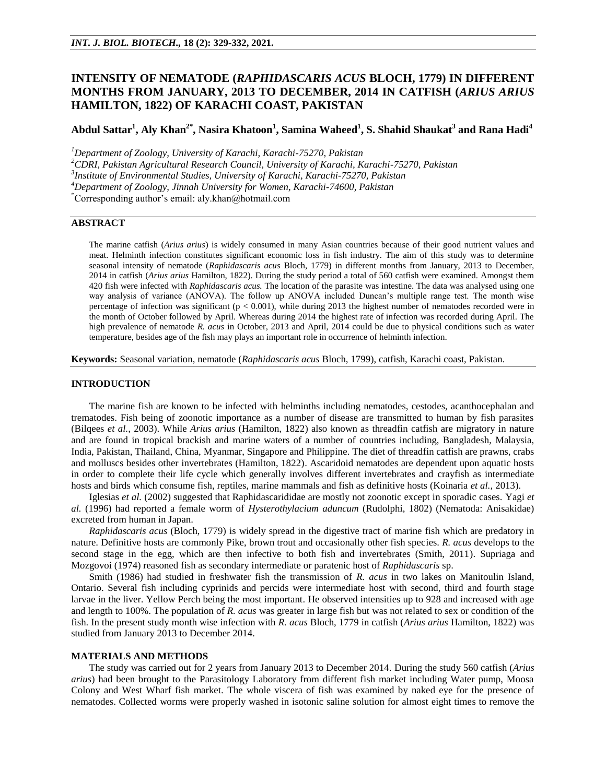# **INTENSITY OF NEMATODE (***RAPHIDASCARIS ACUS* **BLOCH, 1779) IN DIFFERENT MONTHS FROM JANUARY, 2013 TO DECEMBER, 2014 IN CATFISH (***ARIUS ARIUS*  **HAMILTON, 1822) OF KARACHI COAST, PAKISTAN**

# **Abdul Sattar<sup>1</sup> , Aly Khan2\*, Nasira Khatoon<sup>1</sup> , Samina Waheed<sup>1</sup> , S. Shahid Shaukat<sup>3</sup> and Rana Hadi<sup>4</sup>**

*<sup>1</sup>Department of Zoology, University of Karachi, Karachi-75270, Pakistan*

*<sup>2</sup>CDRI, Pakistan Agricultural Research Council, University of Karachi, Karachi-75270, Pakistan*

*3 Institute of Environmental Studies, University of Karachi, Karachi-75270, Pakistan*

*<sup>4</sup>Department of Zoology, Jinnah University for Women, Karachi-74600, Pakistan*

\*Corresponding author's email: aly.khan@hotmail.com

## **ABSTRACT**

The marine catfish (*Arius arius*) is widely consumed in many Asian countries because of their good nutrient values and meat. Helminth infection constitutes significant economic loss in fish industry. The aim of this study was to determine seasonal intensity of nematode (*Raphidascaris acus* Bloch, 1779) in different months from January, 2013 to December, 2014 in catfish (*Arius arius* Hamilton, 1822). During the study period a total of 560 catfish were examined. Amongst them 420 fish were infected with *Raphidascaris acus.* The location of the parasite was intestine. The data was analysed using one way analysis of variance (ANOVA). The follow up ANOVA included Duncan's multiple range test. The month wise percentage of infection was significant ( $p < 0.001$ ), while during 2013 the highest number of nematodes recorded were in the month of October followed by April. Whereas during 2014 the highest rate of infection was recorded during April. The high prevalence of nematode *R. acus* in October, 2013 and April, 2014 could be due to physical conditions such as water temperature, besides age of the fish may plays an important role in occurrence of helminth infection.

**Keywords:** Seasonal variation, nematode (*Raphidascaris acus* Bloch, 1799), catfish, Karachi coast, Pakistan.

#### **INTRODUCTION**

The marine fish are known to be infected with helminths including nematodes, cestodes, acanthocephalan and trematodes. Fish being of zoonotic importance as a number of disease are transmitted to human by fish parasites (Bilqees *et al.,* 2003). While *Arius arius* (Hamilton, 1822) also known as threadfin catfish are migratory in nature and are found in tropical brackish and marine waters of a number of countries including, Bangladesh, Malaysia, India, Pakistan, Thailand, China, Myanmar, Singapore and Philippine. The diet of threadfin catfish are prawns, crabs and molluscs besides other invertebrates (Hamilton, 1822). Ascaridoid nematodes are dependent upon aquatic hosts in order to complete their life cycle which generally involves different invertebrates and crayfish as intermediate hosts and birds which consume fish, reptiles, marine mammals and fish as definitive hosts (Koinaria *et al.,* 2013).

Iglesias *et al.* (2002) suggested that Raphidascarididae are mostly not zoonotic except in sporadic cases. Yagi *et al.* (1996) had reported a female worm of *Hysterothylacium aduncum* (Rudolphi, 1802) (Nematoda: Anisakidae) excreted from human in Japan.

*Raphidascaris acus* (Bloch, 1779) is widely spread in the digestive tract of marine fish which are predatory in nature. Definitive hosts are commonly Pike, brown trout and occasionally other fish species. *R. acus* develops to the second stage in the egg, which are then infective to both fish and invertebrates (Smith, 2011). Supriaga and Mozgovoi (1974) reasoned fish as secondary intermediate or paratenic host of *Raphidascaris* sp.

Smith (1986) had studied in freshwater fish the transmission of *R. acus* in two lakes on Manitoulin Island, Ontario. Several fish including cyprinids and percids were intermediate host with second, third and fourth stage larvae in the liver. Yellow Perch being the most important. He observed intensities up to 928 and increased with age and length to 100%. The population of *R. acus* was greater in large fish but was not related to sex or condition of the fish. In the present study month wise infection with *R. acus* Bloch, 1779 in catfish (*Arius arius* Hamilton, 1822) was studied from January 2013 to December 2014.

#### **MATERIALS AND METHODS**

The study was carried out for 2 years from January 2013 to December 2014. During the study 560 catfish (*Arius arius*) had been brought to the Parasitology Laboratory from different fish market including Water pump, Moosa Colony and West Wharf fish market. The whole viscera of fish was examined by naked eye for the presence of nematodes. Collected worms were properly washed in isotonic saline solution for almost eight times to remove the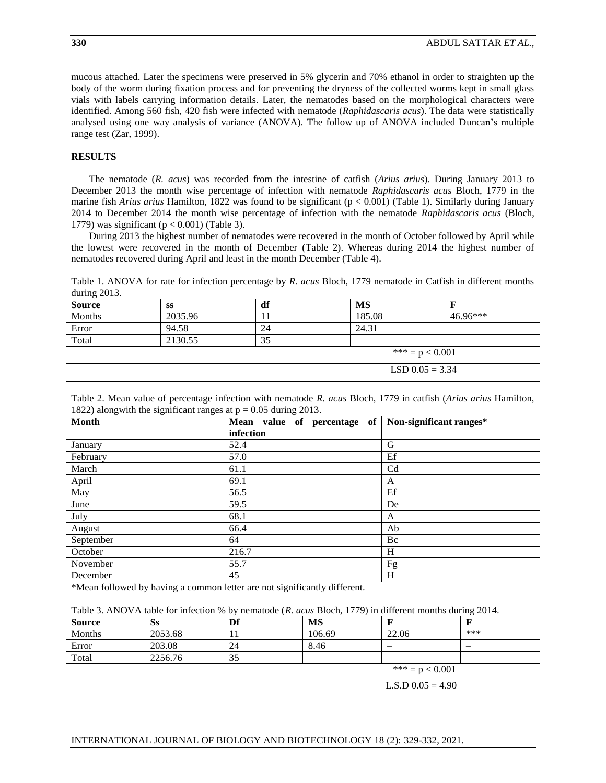mucous attached. Later the specimens were preserved in 5% glycerin and 70% ethanol in order to straighten up the body of the worm during fixation process and for preventing the dryness of the collected worms kept in small glass vials with labels carrying information details. Later, the nematodes based on the morphological characters were identified. Among 560 fish, 420 fish were infected with nematode (*Raphidascaris acus*). The data were statistically analysed using one way analysis of variance (ANOVA). The follow up of ANOVA included Duncan's multiple range test (Zar, 1999).

### **RESULTS**

The nematode (*R. acus*) was recorded from the intestine of catfish (*Arius arius*). During January 2013 to December 2013 the month wise percentage of infection with nematode *Raphidascaris acus* Bloch, 1779 in the marine fish *Arius arius* Hamilton, 1822 was found to be significant ( $p < 0.001$ ) (Table 1). Similarly during January 2014 to December 2014 the month wise percentage of infection with the nematode *Raphidascaris acus* (Bloch, 1779) was significant ( $p < 0.001$ ) (Table 3).

During 2013 the highest number of nematodes were recovered in the month of October followed by April while the lowest were recovered in the month of December (Table 2). Whereas during 2014 the highest number of nematodes recovered during April and least in the month December (Table 4).

Table 1. ANOVA for rate for infection percentage by *R. acus* Bloch, 1779 nematode in Catfish in different months during 2013.

| <b>Source</b> | SS                | df                | MS     |          |  |
|---------------|-------------------|-------------------|--------|----------|--|
| Months        | 2035.96           |                   | 185.08 | 46.96*** |  |
| Error         | 94.58             | 24                | 24.31  |          |  |
| Total         | 2130.55           | 35                |        |          |  |
|               | *** = $p < 0.001$ |                   |        |          |  |
|               |                   | LSD $0.05 = 3.34$ |        |          |  |

Table 2. Mean value of percentage infection with nematode *R. acus* Bloch, 1779 in catfish (*Arius arius* Hamilton, 1822) alongwith the significant ranges at  $p = 0.05$  during 2013.

| <b>Month</b> | Mean value of percentage of | Non-significant ranges* |
|--------------|-----------------------------|-------------------------|
|              | infection                   |                         |
| January      | 52.4                        | G                       |
| February     | 57.0                        | Ef                      |
| March        | 61.1                        | C <sub>d</sub>          |
| April        | 69.1                        | A                       |
| May          | 56.5                        | Ef                      |
| June         | 59.5                        | De                      |
| July         | 68.1                        | A                       |
| August       | 66.4                        | Ab                      |
| September    | 64                          | Bc                      |
| October      | 216.7                       | H                       |
| November     | 55.7                        | Fg                      |
| December     | 45                          | H                       |

\*Mean followed by having a common letter are not significantly different.

Table 3. ANOVA table for infection % by nematode (*R. acus* Bloch, 1779) in different months during 2014.

| <b>Source</b>     | <b>Ss</b> | Df | <b>MS</b> |                     |     |
|-------------------|-----------|----|-----------|---------------------|-----|
| Months            | 2053.68   |    | 106.69    | 22.06               | *** |
| Error             | 203.08    | 24 | 8.46      |                     |     |
| Total             | 2256.76   | 35 |           |                     |     |
| *** = $p < 0.001$ |           |    |           |                     |     |
|                   |           |    |           | L.S.D $0.05 = 4.90$ |     |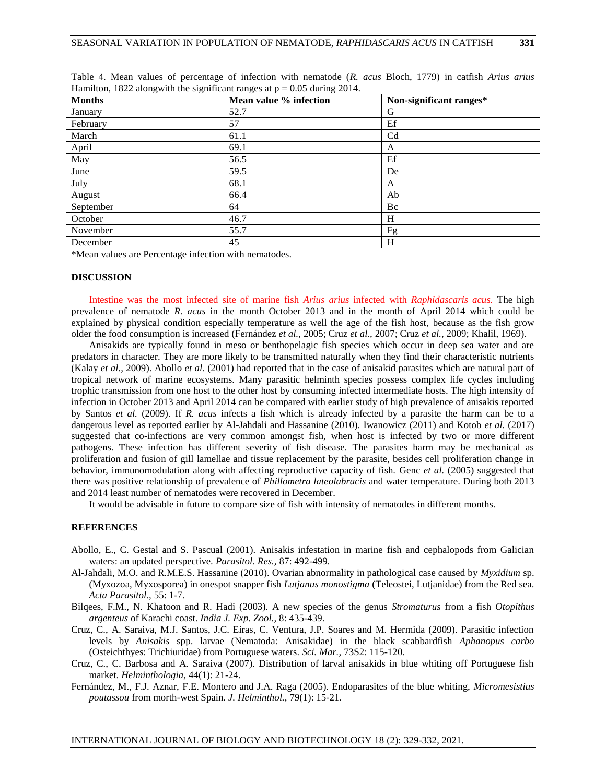| $\circ$<br>$\circ$ | $\circ$<br>$\circ$     |                         |
|--------------------|------------------------|-------------------------|
| <b>Months</b>      | Mean value % infection | Non-significant ranges* |
| January            | 52.7                   | G                       |
| February           | 57                     | Ef                      |
| March              | 61.1                   | C <sub>d</sub>          |
| April              | 69.1                   | A                       |
| May                | 56.5                   | Ef                      |
| June               | 59.5                   | De                      |
| July               | 68.1                   | A                       |
| August             | 66.4                   | Ab                      |
| September          | 64                     | Bc                      |
| October            | 46.7                   | H                       |
| November           | 55.7                   | Fg                      |
| December           | 45                     | H                       |

Table 4. Mean values of percentage of infection with nematode (*R. acus* Bloch, 1779) in catfish *Arius arius*  Hamilton, 1822 alongwith the significant ranges at  $p = 0.05$  during 2014.

\*Mean values are Percentage infection with nematodes.

## **DISCUSSION**

Intestine was the most infected site of marine fish *Arius arius* infected with *Raphidascaris acus.* The high prevalence of nematode *R. acus* in the month October 2013 and in the month of April 2014 which could be explained by physical condition especially temperature as well the age of the fish host, because as the fish grow older the food consumption is increased (Fernández *et al.,* 2005; Cruz *et al.,* 2007; Cruz *et al.,* 2009; Khalil, 1969).

Anisakids are typically found in meso or benthopelagic fish species which occur in deep sea water and are predators in character. They are more likely to be transmitted naturally when they find their characteristic nutrients (Kalay *et al.,* 2009). Abollo *et al.* (2001) had reported that in the case of anisakid parasites which are natural part of tropical network of marine ecosystems. Many parasitic helminth species possess complex life cycles including trophic transmission from one host to the other host by consuming infected intermediate hosts. The high intensity of infection in October 2013 and April 2014 can be compared with earlier study of high prevalence of anisakis reported by Santos *et al.* (2009). If *R. acus* infects a fish which is already infected by a parasite the harm can be to a dangerous level as reported earlier by Al-Jahdali and Hassanine (2010). Iwanowicz (2011) and Kotob *et al.* (2017) suggested that co-infections are very common amongst fish, when host is infected by two or more different pathogens. These infection has different severity of fish disease. The parasites harm may be mechanical as proliferation and fusion of gill lamellae and tissue replacement by the parasite, besides cell proliferation change in behavior, immunomodulation along with affecting reproductive capacity of fish. Genc *et al.* (2005) suggested that there was positive relationship of prevalence of *Phillometra lateolabracis* and water temperature. During both 2013 and 2014 least number of nematodes were recovered in December.

It would be advisable in future to compare size of fish with intensity of nematodes in different months.

## **REFERENCES**

- Abollo, E., C. Gestal and S. Pascual (2001). Anisakis infestation in marine fish and cephalopods from Galician waters: an updated perspective. *Parasitol. Res.,* 87: 492-499.
- Al-Jahdali, M.O. and R.M.E.S. Hassanine (2010). Ovarian abnormality in pathological case caused by *Myxidium* sp. (Myxozoa, Myxosporea) in onespot snapper fish *Lutjanus monostigma* (Teleostei, Lutjanidae) from the Red sea. *Acta Parasitol.,* 55: 1-7.
- Bilqees, F.M., N. Khatoon and R. Hadi (2003). A new species of the genus *Stromaturus* from a fish *Otopithus argenteus* of Karachi coast. *India J. Exp. Zool.,* 8: 435-439.
- Cruz, C., A. Saraiva, M.J. Santos, J.C. Eiras, C. Ventura, J.P. Soares and M. Hermida (2009). Parasitic infection levels by *Anisakis* spp. larvae (Nematoda: Anisakidae) in the black scabbardfish *Aphanopus carbo*  (Osteichthyes: Trichiuridae) from Portuguese waters. *Sci. Mar.,* 73S2: 115-120.
- Cruz, C., C. Barbosa and A. Saraiva (2007). Distribution of larval anisakids in blue whiting off Portuguese fish market. *Helminthologia,* 44(1): 21-24.
- Fernández, M., F.J. Aznar, F.E. Montero and J.A. Raga (2005). Endoparasites of the blue whiting, *Micromesistius poutassou* from morth-west Spain. *J. Helminthol.,* 79(1): 15-21.